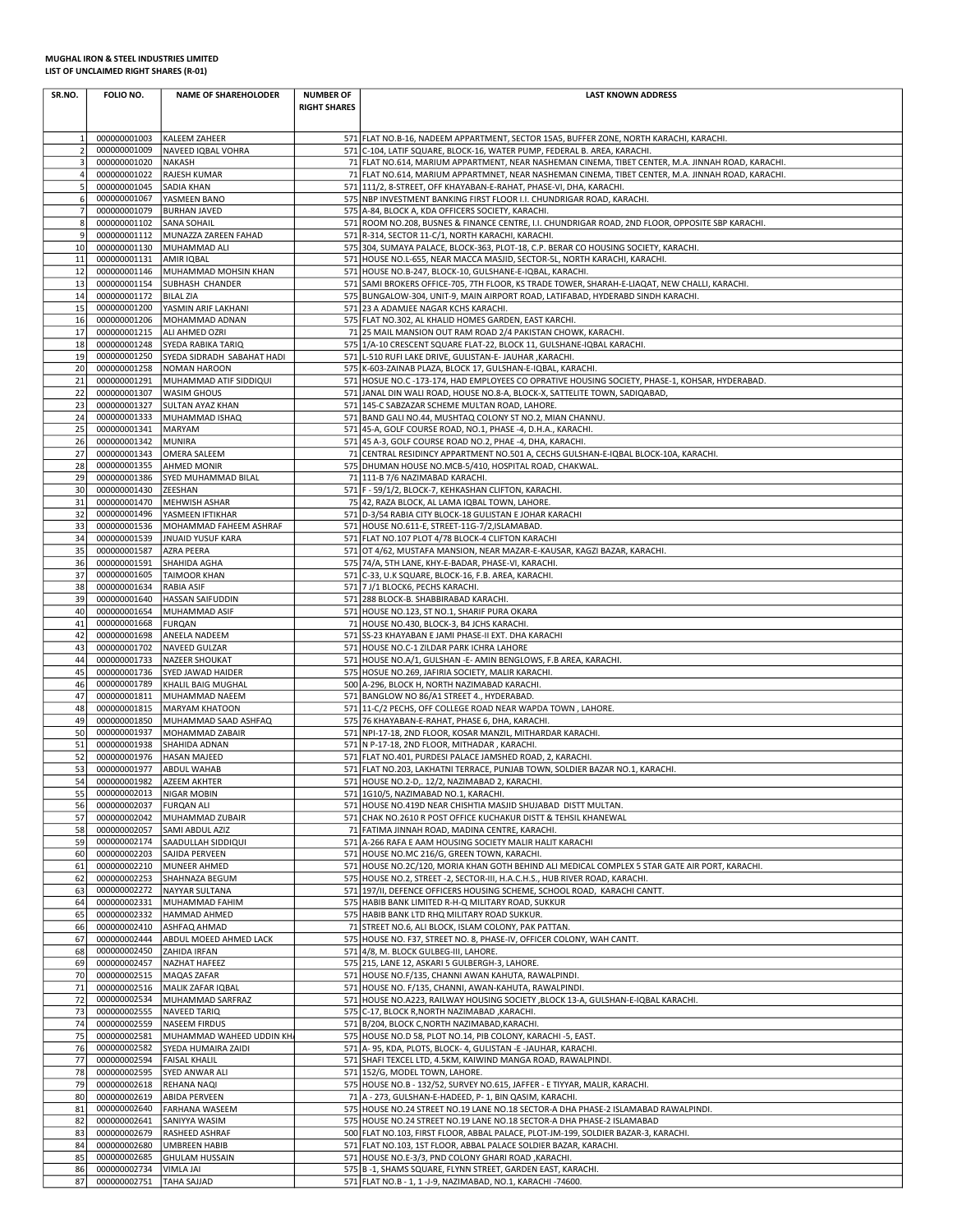## MUGHAL IRON & STEEL INDUSTRIES LIMITED LIST OF UNCLAIMED RIGHT SHARES (R-01)

| SR.NO.              | FOLIO NO.                                  | <b>NAME OF SHAREHOLODER</b>                      | <b>NUMBER OF</b><br><b>RIGHT SHARES</b> | <b>LAST KNOWN ADDRESS</b>                                                                                                                                                                              |
|---------------------|--------------------------------------------|--------------------------------------------------|-----------------------------------------|--------------------------------------------------------------------------------------------------------------------------------------------------------------------------------------------------------|
| 1                   | 000000001003                               | KALEEM ZAHEER                                    |                                         | 571 FLAT NO.B-16, NADEEM APPARTMENT, SECTOR 15A5, BUFFER ZONE, NORTH KARACHI, KARACHI.                                                                                                                 |
| $\overline{2}$      | 000000001009                               | NAVEED IQBAL VOHRA                               |                                         | 571 C-104, LATIF SQUARE, BLOCK-16, WATER PUMP, FEDERAL B. AREA, KARACHI.                                                                                                                               |
| 3<br>$\overline{4}$ | 000000001020<br>000000001022               | <b>NAKASH</b><br>RAJESH KUMAR                    |                                         | 71 FLAT NO.614, MARIUM APPARTMENT, NEAR NASHEMAN CINEMA, TIBET CENTER, M.A. JINNAH ROAD, KARACHI.<br>71 FLAT NO.614, MARIUM APPARTMNET, NEAR NASHEMAN CINEMA, TIBET CENTER, M.A. JINNAH ROAD, KARACHI. |
| 5                   | 000000001045                               | SADIA KHAN                                       |                                         | 571 111/2, 8-STREET, OFF KHAYABAN-E-RAHAT, PHASE-VI, DHA, KARACHI.                                                                                                                                     |
| 6<br>$\overline{7}$ | 000000001067<br>000000001079               | YASMEEN BANO<br><b>BURHAN JAVED</b>              |                                         | 575 NBP INVESTMENT BANKING FIRST FLOOR I.I. CHUNDRIGAR ROAD, KARACHI.<br>575 A-84, BLOCK A, KDA OFFICERS SOCIETY, KARACHI.                                                                             |
| 8                   | 000000001102                               | <b>SANA SOHAIL</b>                               |                                         | 571 ROOM NO.208, BUSNES & FINANCE CENTRE, I.I. CHUNDRIGAR ROAD, 2ND FLOOR, OPPOSITE SBP KARACHI.                                                                                                       |
| 9                   | 000000001112                               | MUNAZZA ZAREEN FAHAD                             |                                         | 571 R-314, SECTOR 11-C/1, NORTH KARACHI, KARACHI.                                                                                                                                                      |
| 10<br>11            | 000000001130<br>000000001131               | MUHAMMAD ALI<br>AMIR IQBAL                       |                                         | 575 304, SUMAYA PALACE, BLOCK-363, PLOT-18, C.P. BERAR CO HOUSING SOCIETY, KARACHI.<br>571 HOUSE NO.L-655, NEAR MACCA MASJID, SECTOR-5L, NORTH KARACHI, KARACHI.                                       |
| 12                  | 000000001146                               | MUHAMMAD MOHSIN KHAN                             |                                         | 571 HOUSE NO.B-247, BLOCK-10, GULSHANE-E-IQBAL, KARACHI.                                                                                                                                               |
| 13                  | 000000001154                               | SUBHASH CHANDER                                  |                                         | 571 SAMI BROKERS OFFICE-705, 7TH FLOOR, KS TRADE TOWER, SHARAH-E-LIAQAT, NEW CHALLI, KARACHI.                                                                                                          |
| 14<br>15            | 000000001172<br>000000001200               | <b>BILAL ZIA</b><br>YASMIN ARIF LAKHANI          |                                         | 575 BUNGALOW-304, UNIT-9, MAIN AIRPORT ROAD, LATIFABAD, HYDERABD SINDH KARACHI.<br>571 23 A ADAMJEE NAGAR KCHS KARACHI.                                                                                |
| 16                  | 000000001206                               | MOHAMMAD ADNAN                                   |                                         | 575 FLAT NO.302, AL KHALID HOMES GARDEN, EAST KARCHI.                                                                                                                                                  |
| 17<br>18            | 000000001215<br>000000001248               | ALI AHMED OZRI                                   |                                         | 71 25 MAIL MANSION OUT RAM ROAD 2/4 PAKISTAN CHOWK, KARACHI.                                                                                                                                           |
| 19                  | 000000001250                               | SYEDA RABIKA TARIQ<br>SYEDA SIDRADH SABAHAT HADI |                                         | 575 1/A-10 CRESCENT SQUARE FLAT-22, BLOCK 11, GULSHANE-IQBAL KARACHI.<br>571 L-510 RUFI LAKE DRIVE, GULISTAN-E- JAUHAR , KARACHI.                                                                      |
| 20                  | 000000001258                               | <b>NOMAN HAROON</b>                              |                                         | 575 K-603-ZAINAB PLAZA, BLOCK 17, GULSHAN-E-IQBAL, KARACHI.                                                                                                                                            |
| 21<br>22            | 000000001291<br>000000001307               | MUHAMMAD ATIF SIDDIQUI<br><b>WASIM GHOUS</b>     |                                         | 571 HOSUE NO.C -173-174, HAD EMPLOYEES CO OPRATIVE HOUSING SOCIETY, PHASE-1, KOHSAR, HYDERABAD.<br>571 JANAL DIN WALI ROAD, HOUSE NO.8-A, BLOCK-X, SATTELITE TOWN, SADIQABAD,                          |
| 23                  | 000000001327                               | <b>SULTAN AYAZ KHAN</b>                          |                                         | 571 145-C SABZAZAR SCHEME MULTAN ROAD, LAHORE.                                                                                                                                                         |
| 24                  | 000000001333                               | MUHAMMAD ISHAQ                                   |                                         | 571 BAND GALI NO.44, MUSHTAQ COLONY ST NO.2, MIAN CHANNU.                                                                                                                                              |
| 25<br>26            | 000000001341<br>000000001342               | MARYAM<br>MUNIRA                                 |                                         | 571 45-A, GOLF COURSE ROAD, NO.1, PHASE -4, D.H.A., KARACHI.<br>571 45 A-3, GOLF COURSE ROAD NO.2, PHAE -4, DHA, KARACHI.                                                                              |
| 27                  | 000000001343                               | OMERA SALEEM                                     |                                         | 71 CENTRAL RESIDINCY APPARTMENT NO.501 A, CECHS GULSHAN-E-IQBAL BLOCK-10A, KARACHI.                                                                                                                    |
| 28<br>29            | 000000001355<br>000000001386               | AHMED MONIR<br>SYED MUHAMMAD BILAL               |                                         | 575 DHUMAN HOUSE NO.MCB-5/410, HOSPITAL ROAD, CHAKWAL.<br>71 111-B 7/6 NAZIMABAD KARACHI.                                                                                                              |
| 30                  | 000000001430                               | ZEESHAN                                          |                                         | 571 F - 59/1/2, BLOCK-7, KEHKASHAN CLIFTON, KARACHI.                                                                                                                                                   |
| 31                  | 000000001470                               | MEHWISH ASHAR                                    |                                         | 75 42, RAZA BLOCK, AL LAMA IQBAL TOWN, LAHORE.                                                                                                                                                         |
| 32<br>33            | 000000001496<br>000000001536               | YASMEEN IFTIKHAR<br>MOHAMMAD FAHEEM ASHRAF       |                                         | 571 D-3/54 RABIA CITY BLOCK-18 GULISTAN E JOHAR KARACHI<br>571 HOUSE NO.611-E, STREET-11G-7/2, ISLAMABAD.                                                                                              |
| 34                  | 000000001539                               | <b>JNUAID YUSUF KARA</b>                         |                                         | 571 FLAT NO.107 PLOT 4/78 BLOCK-4 CLIFTON KARACHI                                                                                                                                                      |
| 35                  | 000000001587                               | AZRA PEERA                                       |                                         | 571 OT 4/62, MUSTAFA MANSION, NEAR MAZAR-E-KAUSAR, KAGZI BAZAR, KARACHI.                                                                                                                               |
| 36<br>37            | 000000001591<br>000000001605               | SHAHIDA AGHA<br><b>TAIMOOR KHAN</b>              |                                         | 575 74/A, 5TH LANE, KHY-E-BADAR, PHASE-VI, KARACHI.<br>571 C-33, U.K SQUARE, BLOCK-16, F.B. AREA, KARACHI.                                                                                             |
| 38                  | 000000001634                               | RABIA ASIF                                       |                                         | 571 7 J/1 BLOCK6, PECHS KARACHI.                                                                                                                                                                       |
| 39<br>40            | 000000001640<br>000000001654               | <b>HASSAN SAIFUDDIN</b><br>MUHAMMAD ASIF         |                                         | 571 288 BLOCK-B. SHABBIRABAD KARACHI.<br>571 HOUSE NO.123, ST NO.1, SHARIF PURA OKARA                                                                                                                  |
| 41                  | 000000001668                               | <b>FURQAN</b>                                    |                                         | 71 HOUSE NO.430, BLOCK-3, B4 JCHS KARACHI.                                                                                                                                                             |
| 42                  | 000000001698                               | ANEELA NADEEM                                    |                                         | 571 SS-23 KHAYABAN E JAMI PHASE-II EXT. DHA KARACHI                                                                                                                                                    |
| 43<br>44            | 000000001702<br>000000001733               | NAVEED GULZAR<br>NAZEER SHOUKAT                  |                                         | 571 HOUSE NO.C-1 ZILDAR PARK ICHRA LAHORE<br>571 HOUSE NO.A/1, GULSHAN - E- AMIN BENGLOWS, F.B AREA, KARACHI.                                                                                          |
| 45                  | 000000001736                               | SYED JAWAD HAIDER                                |                                         | 575 HOSUE NO.269, JAFIRIA SOCIETY, MALIR KARACHI.                                                                                                                                                      |
| 46<br>47            | 000000001789<br>000000001811               | KHALIL BAIG MUGHAL                               |                                         | 500 A-296, BLOCK H, NORTH NAZIMABAD KARACHI.                                                                                                                                                           |
| 48                  | 000000001815                               | MUHAMMAD NAEEM<br>MARYAM KHATOON                 |                                         | 571 BANGLOW NO 86/A1 STREET 4., HYDERABAD.<br>571 11-C/2 PECHS, OFF COLLEGE ROAD NEAR WAPDA TOWN, LAHORE.                                                                                              |
| 49                  | 000000001850                               | MUHAMMAD SAAD ASHFAQ                             |                                         | 575 76 KHAYABAN-E-RAHAT, PHASE 6, DHA, KARACHI.                                                                                                                                                        |
| 50<br>51            | 000000001937<br>000000001938               | MOHAMMAD ZABAIR<br>SHAHIDA ADNAN                 |                                         | 571 NPI-17-18, 2ND FLOOR, KOSAR MANZIL, MITHARDAR KARACHI.<br>571 N P-17-18, 2ND FLOOR, MITHADAR, KARACHI.                                                                                             |
| 52                  | 000000001976                               | <b>HASAN MAJEED</b>                              |                                         | 571 FLAT NO.401, PURDESI PALACE JAMSHED ROAD, 2, KARACHI.                                                                                                                                              |
| 53                  | 000000001977                               | <b>ABDUL WAHAB</b>                               |                                         | 571 FLAT NO.203, LAKHATNI TERRACE, PUNJAB TOWN, SOLDIER BAZAR NO.1, KARACHI.                                                                                                                           |
| 54<br>55            | 000000001982<br>000000002013   NIGAR MOBIN | <b>AZEEM AKHTER</b>                              |                                         | 571 HOUSE NO.2-D,. 12/2, NAZIMABAD 2, KARACHI.<br>571 1G10/5, NAZIMABAD NO.1, KARACHI.                                                                                                                 |
| 56                  | 000000002037                               | <b>FURQAN ALI</b>                                |                                         | 571 HOUSE NO.419D NEAR CHISHTIA MASJID SHUJABAD DISTT MULTAN.                                                                                                                                          |
| 57                  | 000000002042<br>000000002057               | MUHAMMAD ZUBAIR<br>SAMI ABDUL AZIZ               |                                         | 571 CHAK NO.2610 R POST OFFICE KUCHAKUR DISTT & TEHSIL KHANEWAL<br>71 FATIMA JINNAH ROAD, MADINA CENTRE, KARACHI.                                                                                      |
| 58<br>59            |                                            | 000000002174 SAADULLAH SIDDIQUI                  |                                         | 571 A-266 RAFA E AAM HOUSING SOCIETY MALIR HALIT KARACHI                                                                                                                                               |
| 60                  | 000000002203                               | SAJIDA PERVEEN                                   |                                         | 571 HOUSE NO.MC 216/G, GREEN TOWN, KARACHI.                                                                                                                                                            |
| 61<br>62            | 000000002210<br>000000002253               | MUNEER AHMED<br>SHAHNAZA BEGUM                   |                                         | 571 HOUSE NO.2C/120, MORIA KHAN GOTH BEHIND ALI MEDICAL COMPLEX 5 STAR GATE AIR PORT, KARACHI.<br>575 HOUSE NO.2, STREET -2, SECTOR-III, H.A.C.H.S., HUB RIVER ROAD, KARACHI.                          |
| 63                  | 000000002272                               | NAYYAR SULTANA                                   |                                         | 571 197/II, DEFENCE OFFICERS HOUSING SCHEME, SCHOOL ROAD, KARACHI CANTT.                                                                                                                               |
| 64                  | 000000002331                               | MUHAMMAD FAHIM                                   |                                         | 575 HABIB BANK LIMITED R-H-Q MILITARY ROAD, SUKKUR                                                                                                                                                     |
| 65<br>66            | 000000002410                               | 000000002332 HAMMAD AHMED<br>ASHFAQ AHMAD        |                                         | 575 HABIB BANK LTD RHQ MILITARY ROAD SUKKUR.<br>71 STREET NO.6, ALI BLOCK, ISLAM COLONY, PAK PATTAN.                                                                                                   |
| 67                  | 000000002444                               | ABDUL MOEED AHMED LACK                           |                                         | 575 HOUSE NO. F37, STREET NO. 8, PHASE-IV, OFFICER COLONY, WAH CANTT.                                                                                                                                  |
| 68<br>69            | 000000002450<br>000000002457               | <b>ZAHIDA IRFAN</b><br>NAZHAT HAFEEZ             |                                         | 571 4/8, M. BLOCK GULBEG-III, LAHORE.<br>575 215, LANE 12, ASKARI 5 GULBERGH-3, LAHORE.                                                                                                                |
| 70                  | 000000002515                               | MAQAS ZAFAR                                      |                                         | 571 HOUSE NO.F/135, CHANNI AWAN KAHUTA, RAWALPINDI.                                                                                                                                                    |
| $71\,$              | 000000002516                               | MALIK ZAFAR IQBAL                                |                                         | 571 HOUSE NO. F/135, CHANNI, AWAN-KAHUTA, RAWALPINDI.                                                                                                                                                  |
| 72<br>73            | 000000002534<br>000000002555               | MUHAMMAD SARFRAZ<br>NAVEED TARIQ                 |                                         | 571 HOUSE NO.A223, RAILWAY HOUSING SOCIETY , BLOCK 13-A, GULSHAN-E-IQBAL KARACHI.<br>575 C-17, BLOCK R, NORTH NAZIMABAD, KARACHI.                                                                      |
| 74                  | 000000002559                               | <b>NASEEM FIRDUS</b>                             |                                         | 571 B/204, BLOCK C, NORTH NAZIMABAD, KARACHI.                                                                                                                                                          |
| 75                  | 000000002581                               | MUHAMMAD WAHEED UDDIN KH                         |                                         | 575 HOUSE NO.D 58, PLOT NO.14, PIB COLONY, KARACHI -5, EAST.                                                                                                                                           |
| 76<br>77            | 000000002582<br>000000002594               | SYEDA HUMAIRA ZAIDI<br><b>FAISAL KHALIL</b>      |                                         | 571 A-95, KDA, PLOTS, BLOCK-4, GULISTAN -E -JAUHAR, KARACHI.<br>571 SHAFI TEXCEL LTD, 4.5KM, KAIWIND MANGA ROAD, RAWALPINDI.                                                                           |
| 78                  | 000000002595                               | SYED ANWAR ALI                                   |                                         | 571 152/G, MODEL TOWN, LAHORE.                                                                                                                                                                         |
| 79<br>80            | 000000002618<br>000000002619               | REHANA NAQI<br><b>ABIDA PERVEEN</b>              |                                         | 575 HOUSE NO.B - 132/52, SURVEY NO.615, JAFFER - E TIYYAR, MALIR, KARACHI.<br>71 A - 273, GULSHAN-E-HADEED, P- 1, BIN QASIM, KARACHI.                                                                  |
| 81                  | 000000002640                               | <b>FARHANA WASEEM</b>                            |                                         | 575 HOUSE NO.24 STREET NO.19 LANE NO.18 SECTOR-A DHA PHASE-2 ISLAMABAD RAWALPINDI.                                                                                                                     |
| 82                  | 000000002641                               | SANIYYA WASIM                                    |                                         | 575 HOUSE NO.24 STREET NO.19 LANE NO.18 SECTOR-A DHA PHASE-2 ISLAMABAD                                                                                                                                 |
| 83<br>84            | 000000002679<br>000000002680               | RASHEED ASHRAF<br><b>UMBREEN HABIB</b>           |                                         | 500 FLAT NO.103, FIRST FLOOR, ABBAL PALACE, PLOT-JM-199, SOLDIER BAZAR-3, KARACHI.<br>571 FLAT NO.103, 1ST FLOOR, ABBAL PALACE SOLDIER BAZAR, KARACHI.                                                 |
| 85                  | 000000002685                               | <b>GHULAM HUSSAIN</b>                            |                                         | 571 HOUSE NO.E-3/3, PND COLONY GHARI ROAD, KARACHI.                                                                                                                                                    |
| 86<br>87            | 000000002734<br>000000002751               | <b>VIMLA JAI</b><br><b>TAHA SAJJAD</b>           |                                         | 575 B-1, SHAMS SQUARE, FLYNN STREET, GARDEN EAST, KARACHI.<br>571 FLAT NO.B - 1, 1 -J-9, NAZIMABAD, NO.1, KARACHI -74600.                                                                              |
|                     |                                            |                                                  |                                         |                                                                                                                                                                                                        |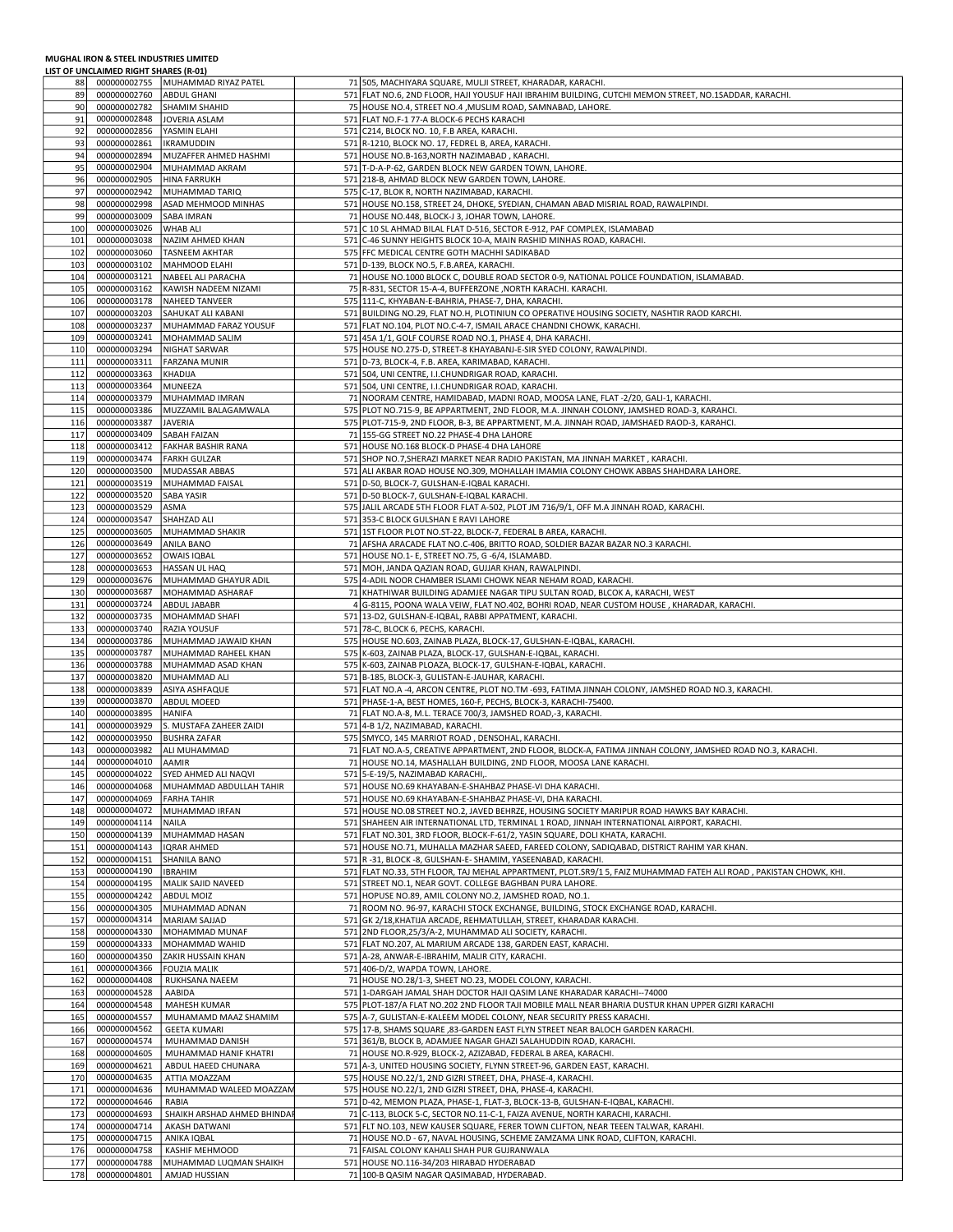## MUGHAL IRON & STEEL INDUSTRIES LIMITED LIST OF UNCLAIMED RIGHT SHARES (R-01)

| 88         |                              | 000000002755   MUHAMMAD RIYAZ PATEL     | 71 505, MACHIYARA SQUARE, MULJI STREET, KHARADAR, KARACHI.                                                        |
|------------|------------------------------|-----------------------------------------|-------------------------------------------------------------------------------------------------------------------|
| 89         | 000000002760                 | <b>ABDUL GHANI</b>                      | 571 FLAT NO.6, 2ND FLOOR, HAJI YOUSUF HAJI IBRAHIM BUILDING, CUTCHI MEMON STREET, NO.1SADDAR, KARACHI.            |
| 90         | 000000002782                 | <b>SHAMIM SHAHID</b>                    | 75 HOUSE NO.4, STREET NO.4, MUSLIM ROAD, SAMNABAD, LAHORE.                                                        |
| 91         | 000000002848                 | <b>JOVERIA ASLAM</b>                    | 571 FLAT NO.F-1 77-A BLOCK-6 PECHS KARACHI                                                                        |
| 92         | 000000002856                 | YASMIN ELAHI                            | 571 C214, BLOCK NO. 10, F.B AREA, KARACHI.                                                                        |
| 93         | 000000002861                 | <b>IKRAMUDDIN</b>                       | 571 R-1210, BLOCK NO. 17, FEDREL B, AREA, KARACHI.                                                                |
|            |                              |                                         |                                                                                                                   |
| 94         | 000000002894                 | MUZAFFER AHMED HASHMI                   | 571 HOUSE NO.B-163, NORTH NAZIMABAD, KARACHI.                                                                     |
| 95         | 000000002904                 | MUHAMMAD AKRAM                          | 571 T-D-A-P-62, GARDEN BLOCK NEW GARDEN TOWN, LAHORE.                                                             |
| 96         | 000000002905                 | <b>HINA FARRUKH</b>                     | 571 218-B, AHMAD BLOCK NEW GARDEN TOWN, LAHORE.                                                                   |
| 97         | 000000002942                 | MUHAMMAD TARIQ                          | 575 C-17, BLOK R, NORTH NAZIMABAD, KARACHI.                                                                       |
| 98         | 000000002998                 | ASAD MEHMOOD MINHAS                     | 571 HOUSE NO.158, STREET 24, DHOKE, SYEDIAN, CHAMAN ABAD MISRIAL ROAD, RAWALPINDI.                                |
| 99         | 000000003009                 | <b>SABA IMRAN</b>                       | 71 HOUSE NO.448, BLOCK-J 3, JOHAR TOWN, LAHORE.                                                                   |
| 100        | 000000003026                 | <b>WHAB ALI</b>                         | 571 C 10 SL AHMAD BILAL FLAT D-516, SECTOR E-912, PAF COMPLEX, ISLAMABAD                                          |
| 101        | 000000003038                 | NAZIM AHMED KHAN                        | 571 C-46 SUNNY HEIGHTS BLOCK 10-A, MAIN RASHID MINHAS ROAD, KARACHI.                                              |
| 102        | 000000003060                 | <b>TASNEEM AKHTAR</b>                   | 575 FFC MEDICAL CENTRE GOTH MACHHI SADIKABAD                                                                      |
| 103        | 000000003102                 | MAHMOOD ELAHI                           | 571 D-139, BLOCK NO.5, F.B.AREA, KARACHI.                                                                         |
| 104        | 000000003121                 | NABEEL ALI PARACHA                      | 71 HOUSE NO.1000 BLOCK C, DOUBLE ROAD SECTOR 0-9, NATIONAL POLICE FOUNDATION, ISLAMABAD.                          |
| 105        | 000000003162                 | KAWISH NADEEM NIZAMI                    | 75 R-831, SECTOR 15-A-4, BUFFERZONE , NORTH KARACHI. KARACHI.                                                     |
| 106        | 000000003178                 |                                         | 575 111-C, KHYABAN-E-BAHRIA, PHASE-7, DHA, KARACHI.                                                               |
|            |                              | <b>NAHEED TANVEER</b>                   |                                                                                                                   |
| 107        | 000000003203                 | SAHUKAT ALI KABANI                      | 571 BUILDING NO.29, FLAT NO.H, PLOTINIUN CO OPERATIVE HOUSING SOCIETY, NASHTIR RAOD KARCHI.                       |
| 108        | 000000003237                 | MUHAMMAD FARAZ YOUSUF                   | 571 FLAT NO.104, PLOT NO.C-4-7, ISMAIL ARACE CHANDNI CHOWK, KARACHI.                                              |
| 109        | 000000003241                 | MOHAMMAD SALIM                          | 571 45A 1/1, GOLF COURSE ROAD NO.1, PHASE 4, DHA KARACHI.                                                         |
| 110        | 000000003294                 | NIGHAT SARWAR                           | 575 HOUSE NO.275-D, STREET-8 KHAYABANJ-E-SIR SYED COLONY, RAWALPINDI.                                             |
| 111        | 000000003311                 | <b>FARZANA MUNIR</b>                    | 571 D-73, BLOCK-4, F.B. AREA, KARIMABAD, KARACHI.                                                                 |
| 112        | 000000003363                 | KHADIJA                                 | 571 504, UNI CENTRE, I.I.CHUNDRIGAR ROAD, KARACHI.                                                                |
| 113        | 000000003364                 | MUNEEZA                                 | 571 504, UNI CENTRE, I.I.CHUNDRIGAR ROAD, KARACHI.                                                                |
| 114        | 000000003379                 | MUHAMMAD IMRAN                          | 71 NOORAM CENTRE, HAMIDABAD, MADNI ROAD, MOOSA LANE, FLAT -2/20, GALI-1, KARACHI.                                 |
| 115        | 000000003386                 | MUZZAMIL BALAGAMWALA                    | 575 PLOT NO.715-9, BE APPARTMENT, 2ND FLOOR, M.A. JINNAH COLONY, JAMSHED ROAD-3, KARAHCI.                         |
| 116        | 000000003387                 | <b>JAVERIA</b>                          | 575 PLOT-715-9, 2ND FLOOR, B-3, BE APPARTMENT, M.A. JINNAH ROAD, JAMSHAED RAOD-3, KARAHCI                         |
| 117        | 000000003409                 | <b>SABAH FAIZAN</b>                     | 71 155-GG STREET NO.22 PHASE-4 DHA LAHORE                                                                         |
| 118        | 000000003412                 | FAKHAR BASHIR RANA                      | 571 HOUSE NO.168 BLOCK-D PHASE-4 DHA LAHORE                                                                       |
| 119        | 000000003474                 | <b>FARKH GULZAR</b>                     | 571 SHOP NO.7, SHERAZI MARKET NEAR RADIO PAKISTAN, MA JINNAH MARKET, KARACHI.                                     |
| 120        | 000000003500                 | MUDASSAR ABBAS                          | 571 ALI AKBAR ROAD HOUSE NO.309, MOHALLAH IMAMIA COLONY CHOWK ABBAS SHAHDARA LAHORE.                              |
| 121        | 000000003519                 | <b>MUHAMMAD FAISAL</b>                  | 571 D-50, BLOCK-7, GULSHAN-E-IQBAL KARACHI.                                                                       |
|            | 000000003520                 |                                         |                                                                                                                   |
| 122        |                              | <b>SABA YASIR</b>                       | 571 D-50 BLOCK-7, GULSHAN-E-IQBAL KARACHI.                                                                        |
| 123        | 000000003529                 | <b>ASMA</b>                             | 575 JALIL ARCADE 5TH FLOOR FLAT A-502, PLOT JM 716/9/1, OFF M.A JINNAH ROAD, KARACHI.                             |
| 124        | 000000003547                 | <b>SHAHZAD ALI</b>                      | 571 353-C BLOCK GULSHAN E RAVI LAHORE                                                                             |
| 125        | 000000003605                 | MUHAMMAD SHAKIR                         | 571   1ST FLOOR PLOT NO.ST-22, BLOCK-7, FEDERAL B AREA, KARACHI.                                                  |
| 126        | 000000003649                 | <b>ANILA BANO</b>                       | 71 AFSHA ARACADE FLAT NO.C-406, BRITTO ROAD, SOLDIER BAZAR BAZAR NO.3 KARACHI.                                    |
| 127        | 000000003652                 | OWAIS IQBAL                             | 571 HOUSE NO.1- E, STREET NO.75, G -6/4, ISLAMABD.                                                                |
| 128        | 000000003653                 | HASSAN UL HAQ                           | 571 MOH, JANDA QAZIAN ROAD, GUJJAR KHAN, RAWALPINDI.                                                              |
| 129        | 000000003676                 | MUHAMMAD GHAYUR ADIL                    | 575 4-ADIL NOOR CHAMBER ISLAMI CHOWK NEAR NEHAM ROAD, KARACHI.                                                    |
| 130        | 000000003687                 | MOHAMMAD ASHARAF                        | 71 KHATHIWAR BUILDING ADAMJEE NAGAR TIPU SULTAN ROAD, BLCOK A, KARACHI, WEST                                      |
| 131        | 000000003724                 | ABDUL JABABR                            | 4 G-8115, POONA WALA VEIW, FLAT NO.402, BOHRI ROAD, NEAR CUSTOM HOUSE, KHARADAR, KARACHI.                         |
| 132        | 000000003735                 | MOHAMMAD SHAFI                          | 571 13-D2, GULSHAN-E-IQBAL, RABBI APPATMENT, KARACHI.                                                             |
| 133        | 000000003740                 | RAZIA YOUSUF                            | 571 78-C, BLOCK 6, PECHS, KARACHI.                                                                                |
| 134        | 000000003786                 | MUHAMMAD JAWAID KHAN                    | 575 HOUSE NO.603, ZAINAB PLAZA, BLOCK-17, GULSHAN-E-IQBAL, KARACHI.                                               |
| 135        | 000000003787                 | MUHAMMAD RAHEEL KHAN                    | 575 K-603, ZAINAB PLAZA, BLOCK-17, GULSHAN-E-IQBAL, KARACHI.                                                      |
| 136        | 000000003788                 | MUHAMMAD ASAD KHAN                      | 575 K-603, ZAINAB PLOAZA, BLOCK-17, GULSHAN-E-IQBAL, KARACHI                                                      |
|            |                              |                                         |                                                                                                                   |
| 137        | 000000003820                 | MUHAMMAD ALI                            | 571 B-185, BLOCK-3, GULISTAN-E-JAUHAR, KARACHI.                                                                   |
|            | 000000003839                 | ASIYA ASHFAQUE                          | 571 FLAT NO.A -4, ARCON CENTRE, PLOT NO.TM -693, FATIMA JINNAH COLONY, JAMSHED ROAD NO.3, KARACHI.                |
| 138        |                              | ABDUL MOEED                             | 571 PHASE-1-A, BEST HOMES, 160-F, PECHS, BLOCK-3, KARACHI-75400.                                                  |
| 139        | 000000003870                 |                                         |                                                                                                                   |
| 140        | 000000003895                 | <b>HANIFA</b>                           | 71 FLAT NO.A-8, M.L. TERACE 700/3, JAMSHED ROAD,-3, KARACHI.                                                      |
| 141        | 000000003929                 | S. MUSTAFA ZAHEER ZAIDI                 | 571 4-B 1/2, NAZIMABAD, KARACHI.                                                                                  |
| 142        | 000000003950                 | <b>BUSHRA ZAFAR</b>                     | 575 SMYCO, 145 MARRIOT ROAD, DENSOHAL, KARACHI.                                                                   |
| 143        | 000000003982                 | ALI MUHAMMAD                            | 71 FLAT NO.A-5, CREATIVE APPARTMENT, 2ND FLOOR, BLOCK-A, FATIMA JINNAH COLONY, JAMSHED ROAD NO.3, KARACHI.        |
| 144        | 000000004010                 | <b>AAMIR</b>                            | 71 HOUSE NO.14, MASHALLAH BUILDING, 2ND FLOOR, MOOSA LANE KARACHI.                                                |
| 145        |                              | 000000004022 SYED AHMED ALI NAQVI       | 571 5-E-19/5, NAZIMABAD KARACHI,.                                                                                 |
| 146        | 000000004068                 | MUHAMMAD ABDULLAH TAHIR                 | 571 HOUSE NO.69 KHAYABAN-E-SHAHBAZ PHASE-VI DHA KARACHI.                                                          |
| 147        | 000000004069                 | <b>FARHA TAHIR</b>                      | 571 HOUSE NO.69 KHAYABAN-E-SHAHBAZ PHASE-VI, DHA KARACHI.                                                         |
| 148        | 000000004072                 | MUHAMMAD IRFAN                          | 571 HOUSE NO.08 STREET NO.2, JAVED BEHRZE, HOUSING SOCIETY MARIPUR ROAD HAWKS BAY KARACHI.                        |
| 149        | 000000004114                 | <b>NAILA</b>                            | 571 SHAHEEN AIR INTERNATIONAL LTD, TERMINAL 1 ROAD, JINNAH INTERNATIONAL AIRPORT, KARACHI.                        |
| 150        | 000000004139                 | MUHAMMAD HASAN                          | 571 FLAT NO.301, 3RD FLOOR, BLOCK-F-61/2, YASIN SQUARE, DOLI KHATA, KARACHI.                                      |
|            |                              |                                         |                                                                                                                   |
| 151        | 000000004143                 | <b>IQRAR AHMED</b>                      | 571 HOUSE NO.71, MUHALLA MAZHAR SAEED, FAREED COLONY, SADIQABAD, DISTRICT RAHIM YAR KHAN.                         |
| 152        | 000000004151                 | SHANILA BANO                            | 571 R-31, BLOCK-8, GULSHAN-E-SHAMIM, YASEENABAD, KARACHI.                                                         |
| 153        | 000000004190                 | <b>IBRAHIM</b>                          | 571 FLAT NO.33, 5TH FLOOR, TAJ MEHAL APPARTMENT, PLOT.SR9/1 5, FAIZ MUHAMMAD FATEH ALI ROAD, PAKISTAN CHOWK, KHI. |
| 154        | 000000004195                 | MALIK SAJID NAVEED                      | 571 STREET NO.1, NEAR GOVT. COLLEGE BAGHBAN PURA LAHORE.                                                          |
| 155        | 000000004242                 | <b>ABDUL MOIZ</b>                       | 571 HOPUSE NO.89, AMIL COLONY NO.2, JAMSHED ROAD, NO.1.                                                           |
| 156        | 000000004305                 | MUHAMMAD ADNAN                          | 71 ROOM NO. 96-97, KARACHI STOCK EXCHANGE, BUILDING, STOCK EXCHANGE ROAD, KARACHI.                                |
| 157        | 000000004314                 | MARIAM SAJJAD                           | 571 GK 2/18, KHATIJA ARCADE, REHMATULLAH, STREET, KHARADAR KARACHI.                                               |
| 158        | 000000004330                 | MOHAMMAD MUNAF                          | 571 2ND FLOOR, 25/3/A-2, MUHAMMAD ALI SOCIETY, KARACHI                                                            |
| 159        | 000000004333                 | MOHAMMAD WAHID                          | 571 FLAT NO.207, AL MARIUM ARCADE 138, GARDEN EAST, KARACHI.                                                      |
| 160        | 000000004350                 | <b>ZAKIR HUSSAIN KHAN</b>               | 571 A-28, ANWAR-E-IBRAHIM, MALIR CITY, KARACHI.                                                                   |
| 161        | 000000004366                 | <b>FOUZIA MALIK</b>                     | 571 406-D/2, WAPDA TOWN, LAHORE.                                                                                  |
| 162        | 000000004408                 | RUKHSANA NAEEM                          | 71 HOUSE NO.28/1-3, SHEET NO.23, MODEL COLONY, KARACHI.                                                           |
| 163        | 000000004528                 | AABIDA                                  | 571 1-DARGAH JAMAL SHAH DOCTOR HAJI QASIM LANE KHARADAR KARACHI--74000                                            |
| 164        | 000000004548                 | <b>MAHESH KUMAR</b>                     | 575 PLOT-187/A FLAT NO.202 2ND FLOOR TAJI MOBILE MALL NEAR BHARIA DUSTUR KHAN UPPER GIZRI KARACHI                 |
| 165        | 000000004557                 | MUHAMAMD MAAZ SHAMIM                    | 575 A-7, GULISTAN-E-KALEEM MODEL COLONY, NEAR SECURITY PRESS KARACHI.                                             |
| 166        | 000000004562                 | <b>GEETA KUMARI</b>                     | 575 17-B, SHAMS SQUARE ,83-GARDEN EAST FLYN STREET NEAR BALOCH GARDEN KARACHI.                                    |
| 167        | 000000004574                 | MUHAMMAD DANISH                         | 571 361/B, BLOCK B, ADAMJEE NAGAR GHAZI SALAHUDDIN ROAD, KARACHI.                                                 |
| 168        | 000000004605                 | MUHAMMAD HANIF KHATRI                   | 71 HOUSE NO.R-929, BLOCK-2, AZIZABAD, FEDERAL B AREA, KARACHI.                                                    |
| 169        | 000000004621                 | ABDUL HAEED CHUNARA                     | 571 A-3, UNITED HOUSING SOCIETY, FLYNN STREET-96, GARDEN EAST, KARACHI.                                           |
| 170        | 000000004635                 | ATTIA MOAZZAM                           | 575 HOUSE NO.22/1, 2ND GIZRI STREET, DHA, PHASE-4, KARACHI.                                                       |
|            |                              |                                         |                                                                                                                   |
| 171        | 000000004636                 | MUHAMMAD WALEED MOAZZAN                 | 575 HOUSE NO.22/1, 2ND GIZRI STREET, DHA, PHASE-4, KARACHI.                                                       |
| 172        | 000000004646                 | RABIA                                   | 571 D-42, MEMON PLAZA, PHASE-1, FLAT-3, BLOCK-13-B, GULSHAN-E-IQBAL, KARACHI.                                     |
| 173        | 000000004693                 | SHAIKH ARSHAD AHMED BHINDAI             | 71 C-113, BLOCK 5-C, SECTOR NO.11-C-1, FAIZA AVENUE, NORTH KARACHI, KARACHI.                                      |
| 174        | 000000004714                 | AKASH DATWANI                           | 571 FLT NO.103, NEW KAUSER SQUARE, FERER TOWN CLIFTON, NEAR TEEEN TALWAR, KARAHI.                                 |
| 175        | 000000004715                 | ANIKA IQBAL                             | 71 HOUSE NO.D - 67, NAVAL HOUSING, SCHEME ZAMZAMA LINK ROAD, CLIFTON, KARACHI.                                    |
| 176        | 000000004758                 | KASHIF MEHMOOD                          | 71 FAISAL COLONY KAHALI SHAH PUR GUJRANWALA                                                                       |
| 177<br>178 | 000000004788<br>000000004801 | MUHAMMAD LUQMAN SHAIKH<br>AMJAD HUSSIAN | 571 HOUSE NO.116-34/203 HIRABAD HYDERABAD<br>71 100-B QASIM NAGAR QASIMABAD, HYDERABAD.                           |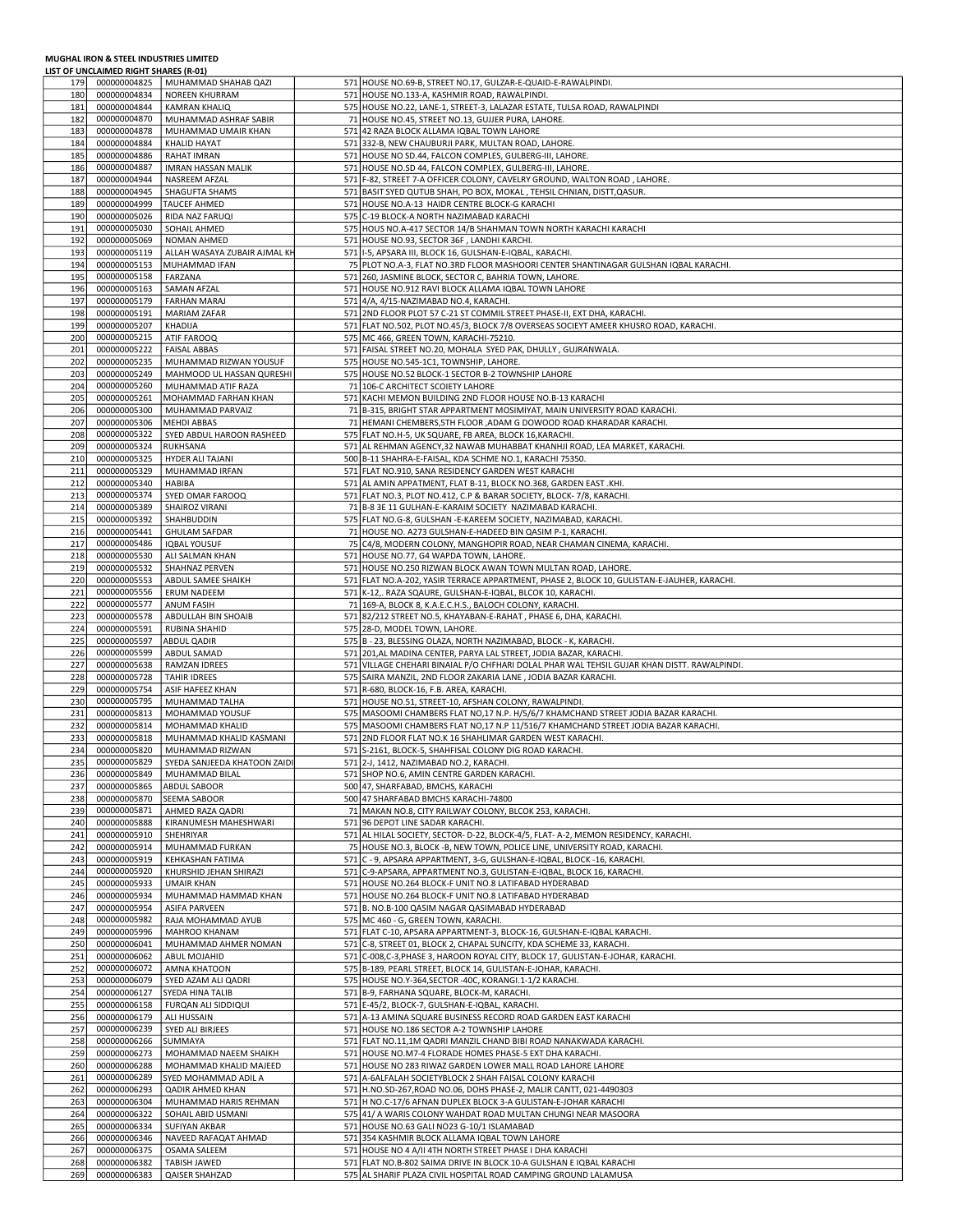## MUGHAL IRON & STEEL INDUSTRIES LIMITED LIST OF UNCLAIMED RIGHT SHARES (R-01)

| 179        | 000000004825                 | MUHAMMAD SHAHAB QAZI                  | 571 HOUSE NO.69-B, STREET NO.17, GULZAR-E-QUAID-E-RAWALPINDI.                               |  |
|------------|------------------------------|---------------------------------------|---------------------------------------------------------------------------------------------|--|
| 180        | 000000004834                 | <b>NOREEN KHURRAM</b>                 | 571 HOUSE NO.133-A, KASHMIR ROAD, RAWALPINDI.                                               |  |
| 181        | 000000004844                 | KAMRAN KHALIQ                         | 575 HOUSE NO.22, LANE-1, STREET-3, LALAZAR ESTATE, TULSA ROAD, RAWALPINDI                   |  |
|            |                              |                                       |                                                                                             |  |
| 182        | 000000004870                 | MUHAMMAD ASHRAF SABIR                 | 71 HOUSE NO.45, STREET NO.13, GUJJER PURA, LAHORE.                                          |  |
| 183        | 000000004878                 | MUHAMMAD UMAIR KHAN                   | 571 42 RAZA BLOCK ALLAMA IQBAL TOWN LAHORE                                                  |  |
| 184        | 000000004884                 | <b>KHALID HAYAT</b>                   | 571 332-B, NEW CHAUBURJI PARK, MULTAN ROAD, LAHORE.                                         |  |
| 185        | 000000004886                 | RAHAT IMRAN                           | 571 HOUSE NO SD.44, FALCON COMPLES, GULBERG-III, LAHORE.                                    |  |
| 186        | 000000004887                 | <b>IMRAN HASSAN MALIK</b>             | 571 HOUSE NO.SD 44, FALCON COMPLEX, GULBERG-III, LAHORE.                                    |  |
| 187        | 000000004944                 | NASREEM AFZAL                         | 571 F-82, STREET 7-A OFFICER COLONY, CAVELRY GROUND, WALTON ROAD, LAHORE.                   |  |
|            | 000000004945                 |                                       |                                                                                             |  |
| 188        |                              | <b>SHAGUFTA SHAMS</b>                 | 571 BASIT SYED QUTUB SHAH, PO BOX, MOKAL, TEHSIL CHNIAN, DISTT, QASUR.                      |  |
| 189        | 000000004999                 | <b>TAUCEF AHMED</b>                   | 571 HOUSE NO.A-13 HAIDR CENTRE BLOCK-G KARACHI                                              |  |
| 190        | 000000005026                 | RIDA NAZ FARUQI                       | 575 C-19 BLOCK-A NORTH NAZIMABAD KARACHI                                                    |  |
| 191        | 000000005030                 | SOHAIL AHMED                          | 575 HOUS NO.A-417 SECTOR 14/B SHAHMAN TOWN NORTH KARACHI KARACHI                            |  |
| 192        | 000000005069                 | NOMAN AHMED                           | 571 HOUSE NO.93, SECTOR 36F, LANDHI KARCHI.                                                 |  |
| 193        | 000000005119                 | ALLAH WASAYA ZUBAIR AJMAL KH          | 571   I-5, APSARA III, BLOCK 16, GULSHAN-E-IQBAL, KARACHI.                                  |  |
|            | 000000005153                 | MUHAMMAD IFAN                         | 75 PLOT NO.A-3, FLAT NO.3RD FLOOR MASHOORI CENTER SHANTINAGAR GULSHAN IQBAL KARACHI.        |  |
| 194        |                              |                                       |                                                                                             |  |
| 195        | 000000005158                 | FARZANA                               | 571 260, JASMINE BLOCK, SECTOR C, BAHRIA TOWN, LAHORE.                                      |  |
| 196        | 000000005163                 | SAMAN AFZAL                           | 571 HOUSE NO.912 RAVI BLOCK ALLAMA IQBAL TOWN LAHORE                                        |  |
| 197        | 000000005179                 | <b>FARHAN MARAJ</b>                   | 571 4/A, 4/15-NAZIMABAD NO.4, KARACHI.                                                      |  |
| 198        | 000000005191                 | <b>MARIAM ZAFAR</b>                   | 571 2ND FLOOR PLOT 57 C-21 ST COMMIL STREET PHASE-II, EXT DHA, KARACHI.                     |  |
| 199        | 000000005207                 | KHADIJA                               | 571 FLAT NO.502, PLOT NO.45/3, BLOCK 7/8 OVERSEAS SOCIEYT AMEER KHUSRO ROAD, KARACHI.       |  |
| 200        | 000000005215                 | ATIF FAROOQ                           | 575 MC 466, GREEN TOWN, KARACHI-75210.                                                      |  |
| 201        | 000000005222                 | <b>FAISAL ABBAS</b>                   | 571 FAISAL STREET NO.20, MOHALA SYED PAK, DHULLY, GUJRANWALA.                               |  |
|            |                              |                                       |                                                                                             |  |
| 202        | 000000005235                 | MUHAMMAD RIZWAN YOUSUF                | 575 HOUSE NO.545-1C1, TOWNSHIP, LAHORE.                                                     |  |
| 203        | 000000005249                 | MAHMOOD UL HASSAN QURESHI             | 575 HOUSE NO.52 BLOCK-1 SECTOR B-2 TOWNSHIP LAHORE                                          |  |
| 204        | 000000005260                 | MUHAMMAD ATIF RAZA                    | 71 106-C ARCHITECT SCOIETY LAHORE                                                           |  |
| 205        | 000000005261                 | MOHAMMAD FARHAN KHAN                  | 571 KACHI MEMON BUILDING 2ND FLOOR HOUSE NO.B-13 KARACHI                                    |  |
| 206        | 000000005300                 | MUHAMMAD PARVAIZ                      | 71 B-315, BRIGHT STAR APPARTMENT MOSIMIYAT, MAIN UNIVERSITY ROAD KARACHI.                   |  |
| 207        | 000000005306                 | MEHDI ABBAS                           | 71 HEMANI CHEMBERS, 5TH FLOOR , ADAM G DOWOOD ROAD KHARADAR KARACHI.                        |  |
| 208        | 000000005322                 | SYED ABDUL HAROON RASHEED             | 575 FLAT NO.H-5, UK SQUARE, FB AREA, BLOCK 16, KARACHI.                                     |  |
| 209        | 000000005324                 | <b>RUKHSANA</b>                       | 571 AL REHMAN AGENCY, 32 NAWAB MUHABBAT KHANHJI ROAD, LEA MARKET, KARACHI.                  |  |
|            |                              |                                       |                                                                                             |  |
| 210        | 000000005325                 | HYDER ALI TAJANI                      | 500 B-11 SHAHRA-E-FAISAL, KDA SCHME NO.1, KARACHI 75350.                                    |  |
| 211        | 000000005329                 | MUHAMMAD IRFAN                        | 571 FLAT NO.910, SANA RESIDENCY GARDEN WEST KARACHI                                         |  |
| 212        | 000000005340                 | HABIBA                                | 571 AL AMIN APPATMENT, FLAT B-11, BLOCK NO.368, GARDEN EAST .KHI.                           |  |
| 213        | 000000005374                 | SYED OMAR FAROOQ                      | 571 FLAT NO.3, PLOT NO.412, C.P & BARAR SOCIETY, BLOCK-7/8, KARACHI.                        |  |
| 214        | 000000005389                 | <b>SHAIROZ VIRANI</b>                 | 71 B-8 3E 11 GULHAN-E-KARAIM SOCIETY NAZIMABAD KARACHI.                                     |  |
| 215        | 000000005392                 | SHAHBUDDIN                            | 575 FLAT NO.G-8, GULSHAN -E-KAREEM SOCIETY, NAZIMABAD, KARACHI.                             |  |
| 216        | 000000005441                 | <b>GHULAM SAFDAR</b>                  | 71 HOUSE NO. A273 GULSHAN-E-HADEED BIN QASIM P-1, KARACHI.                                  |  |
| 217        | 000000005486                 | <b>IQBAL YOUSUF</b>                   | 75 C4/8, MODERN COLONY, MANGHOPIR ROAD, NEAR CHAMAN CINEMA, KARACHI.                        |  |
| 218        | 000000005530                 | ALI SALMAN KHAN                       | 571 HOUSE NO.77, G4 WAPDA TOWN, LAHORE.                                                     |  |
|            |                              |                                       |                                                                                             |  |
| 219        | 000000005532                 | SHAHNAZ PERVEN                        | 571 HOUSE NO.250 RIZWAN BLOCK AWAN TOWN MULTAN ROAD, LAHORE.                                |  |
| 220        | 000000005553                 | ABDUL SAMEE SHAIKH                    | 571 FLAT NO.A-202, YASIR TERRACE APPARTMENT, PHASE 2, BLOCK 10, GULISTAN-E-JAUHER, KARACHI. |  |
| 221        | 000000005556                 | <b>ERUM NADEEM</b>                    | 571 K-12,. RAZA SQAURE, GULSHAN-E-IQBAL, BLCOK 10, KARACHI.                                 |  |
| 222        | 000000005577                 | ANUM FASIH                            | 71 169-A, BLOCK 8, K.A.E.C.H.S., BALOCH COLONY, KARACHI.                                    |  |
| 223        | 000000005578                 | ABDULLAH BIN SHOAIB                   | 571 82/212 STREET NO.5, KHAYABAN-E-RAHAT, PHASE 6, DHA, KARACHI.                            |  |
|            |                              |                                       |                                                                                             |  |
| 224        | 000000005591                 | <b>RUBINA SHAHID</b>                  | 575 28-D, MODEL TOWN, LAHORE.                                                               |  |
| 225        | 000000005597                 | ABDUL QADIR                           | 575 B - 23, BLESSING OLAZA, NORTH NAZIMABAD, BLOCK - K, KARACHI.                            |  |
| 226        | 000000005599                 | ABDUL SAMAD                           | 571 201, AL MADINA CENTER, PARYA LAL STREET, JODIA BAZAR, KARACHI.                          |  |
|            |                              |                                       |                                                                                             |  |
| 227        | 000000005638                 | RAMZAN IDREES                         | 571 VILLAGE CHEHARI BINAIAL P/O CHFHARI DOLAL PHAR WAL TEHSIL GUJAR KHAN DISTT. RAWALPINDI. |  |
| 228        | 000000005728                 | <b>TAHIR IDREES</b>                   | 575 SAIRA MANZIL, 2ND FLOOR ZAKARIA LANE, JODIA BAZAR KARACHI.                              |  |
| 229        | 000000005754                 | ASIF HAFEEZ KHAN                      | 571 R-680, BLOCK-16, F.B. AREA, KARACHI.                                                    |  |
| 230        | 000000005795                 | MUHAMMAD TALHA                        | 571 HOUSE NO.51, STREET-10, AFSHAN COLONY, RAWALPINDI.                                      |  |
| 231        | 000000005813                 | MOHAMMAD YOUSUF                       | 575 MASOOMI CHAMBERS FLAT NO,17 N.P. H/5/6/7 KHAMCHAND STREET JODIA BAZAR KARACHI.          |  |
| 232        | 000000005814                 | MOHAMMAD KHALID                       | 575 MASOOMI CHAMBERS FLAT NO,17 N.P 11/516/7 KHAMCHAND STREET JODIA BAZAR KARACHI.          |  |
| 233        | 000000005818                 | MUHAMMAD KHALID KASMANI               | 571 2ND FLOOR FLAT NO.K 16 SHAHLIMAR GARDEN WEST KARACHI.                                   |  |
| 234        | 000000005820                 | MUHAMMAD RIZWAN                       | 571 S-2161, BLOCK-5, SHAHFISAL COLONY DIG ROAD KARACHI.                                     |  |
| 235        | 000000005829                 | SYEDA SANJEEDA KHATOON ZAIDI          | 571 2-J, 1412, NAZIMABAD NO.2, KARACHI.                                                     |  |
|            |                              |                                       |                                                                                             |  |
| 236<br>237 | 000000005849<br>000000005865 | MUHAMMAD BILAL<br><b>ABDUL SABOOR</b> | 571 SHOP NO.6, AMIN CENTRE GARDEN KARACHI.<br>500 47, SHARFABAD, BMCHS, KARACHI             |  |
|            |                              |                                       |                                                                                             |  |
| 238        | 000000005870                 | <b>SEEMA SABOOR</b>                   | 500 47 SHARFABAD BMCHS KARACHI-74800                                                        |  |
| 239        | 000000005871                 | AHMED RAZA QADRI                      | 71 MAKAN NO.8, CITY RAILWAY COLONY, BLCOK 253, KARACHI.                                     |  |
| 240        | 000000005888                 | KIRANUMESH MAHESHWARI                 | 571 96 DEPOT LINE SADAR KARACHI.                                                            |  |
| 241        | 000000005910                 | SHEHRIYAR                             | 571 AL HILAL SOCIETY, SECTOR- D-22, BLOCK-4/5, FLAT- A-2, MEMON RESIDENCY, KARACHI.         |  |
| 242        | 000000005914                 | MUHAMMAD FURKAN                       | 75 HOUSE NO.3, BLOCK -B, NEW TOWN, POLICE LINE, UNIVERSITY ROAD, KARACHI.                   |  |
| 243        | 000000005919                 | KEHKASHAN FATIMA                      | 571 C - 9, APSARA APPARTMENT, 3-G, GULSHAN-E-IQBAL, BLOCK -16, KARACHI.                     |  |
| 244        | 000000005920                 | KHURSHID JEHAN SHIRAZI                | 571 C-9-APSARA, APPARTMENT NO.3, GULISTAN-E-IQBAL, BLOCK 16, KARACHI.                       |  |
| 245        | 000000005933                 | <b>UMAIR KHAN</b>                     | 571 HOUSE NO.264 BLOCK-F UNIT NO.8 LATIFABAD HYDERABAD                                      |  |
| 246        | 000000005934                 | MUHAMMAD HAMMAD KHAN                  | 571 HOUSE NO.264 BLOCK-F UNIT NO.8 LATIFABAD HYDERABAD                                      |  |
| 247        | 000000005954                 | <b>ASIFA PARVEEN</b>                  | 571 B. NO.B-100 QASIM NAGAR QASIMABAD HYDERABAD                                             |  |
| 248        | 000000005982                 |                                       |                                                                                             |  |
|            |                              | RAJA MOHAMMAD AYUB                    | 575 MC 460 - G, GREEN TOWN, KARACHI.                                                        |  |
| 249        | 000000005996                 | <b>MAHROO KHANAM</b>                  | 571 FLAT C-10, APSARA APPARTMENT-3, BLOCK-16, GULSHAN-E-IQBAL KARACHI.                      |  |
| 250        | 000000006041                 | MUHAMMAD AHMER NOMAN                  | 571 C-8, STREET 01, BLOCK 2, CHAPAL SUNCITY, KDA SCHEME 33, KARACHI.                        |  |
| 251        | 000000006062                 | <b>ABUL MOJAHID</b>                   | 571 C-008,C-3, PHASE 3, HAROON ROYAL CITY, BLOCK 17, GULISTAN-E-JOHAR, KARACHI.             |  |
| 252        | 000000006072                 | AMNA KHATOON                          | 575 B-189, PEARL STREET, BLOCK 14, GULISTAN-E-JOHAR, KARACHI.                               |  |
| 253        | 000000006079                 | SYED AZAM ALI QADRI                   | 575 HOUSE NO.Y-364, SECTOR -40C, KORANGI.1-1/2 KARACHI.                                     |  |
| 254        | 000000006127                 | <b>SYEDA HINA TALIB</b>               | 571 B-9, FARHANA SQUARE, BLOCK-M, KARACHI.                                                  |  |
| 255        | 000000006158                 | <b>FURQAN ALI SIDDIQUI</b>            | 571 E-45/2, BLOCK-7, GULSHAN-E-IQBAL, KARACHI.                                              |  |
| 256        | 000000006179                 | ALI HUSSAIN                           | 571 A-13 AMINA SQUARE BUSINESS RECORD ROAD GARDEN EAST KARACHI                              |  |
| 257        | 000000006239                 | SYED ALI BIRJEES                      | 571 HOUSE NO.186 SECTOR A-2 TOWNSHIP LAHORE                                                 |  |
| 258        | 000000006266                 | SUMMAYA                               | 571 FLAT NO.11,1M QADRI MANZIL CHAND BIBI ROAD NANAKWADA KARACHI.                           |  |
| 259        | 000000006273                 | MOHAMMAD NAEEM SHAIKH                 | 571 HOUSE NO.M7-4 FLORADE HOMES PHASE-5 EXT DHA KARACHI.                                    |  |
| 260        | 000000006288                 | MOHAMMAD KHALID MAJEED                | 571 HOUSE NO 283 RIWAZ GARDEN LOWER MALL ROAD LAHORE LAHORE                                 |  |
|            |                              |                                       |                                                                                             |  |
| 261        | 000000006289                 | SYED MOHAMMAD ADIL A                  | 571 A-6ALFALAH SOCIETYBLOCK 2 SHAH FAISAL COLONY KARACHI                                    |  |
| 262        | 000000006293                 | <b>QADIR AHMED KHAN</b>               | 571 H.NO.SD-267, ROAD NO.06, DOHS PHASE-2, MALIR CANTT, 021-4490303                         |  |
| 263        | 000000006304                 | MUHAMMAD HARIS REHMAN                 | 571 H NO.C-17/6 AFNAN DUPLEX BLOCK 3-A GULISTAN-E-JOHAR KARACHI                             |  |
| 264        | 000000006322                 | SOHAIL ABID USMANI                    | 575 41/ A WARIS COLONY WAHDAT ROAD MULTAN CHUNGI NEAR MASOORA                               |  |
| 265        | 000000006334                 | SUFIYAN AKBAR                         | 571 HOUSE NO.63 GALI NO23 G-10/1 ISLAMABAD                                                  |  |
| 266        | 000000006346                 | NAVEED RAFAQAT AHMAD                  | 571 354 KASHMIR BLOCK ALLAMA IQBAL TOWN LAHORE                                              |  |
| 267        | 000000006375                 | OSAMA SALEEM                          | 571 HOUSE NO 4 A/II 4TH NORTH STREET PHASE I DHA KARACHI                                    |  |
| 268<br>269 | 000000006382<br>000000006383 | TABISH JAWED                          | 571 FLAT NO.B-802 SAIMA DRIVE IN BLOCK 10-A GULSHAN E IQBAL KARACHI                         |  |